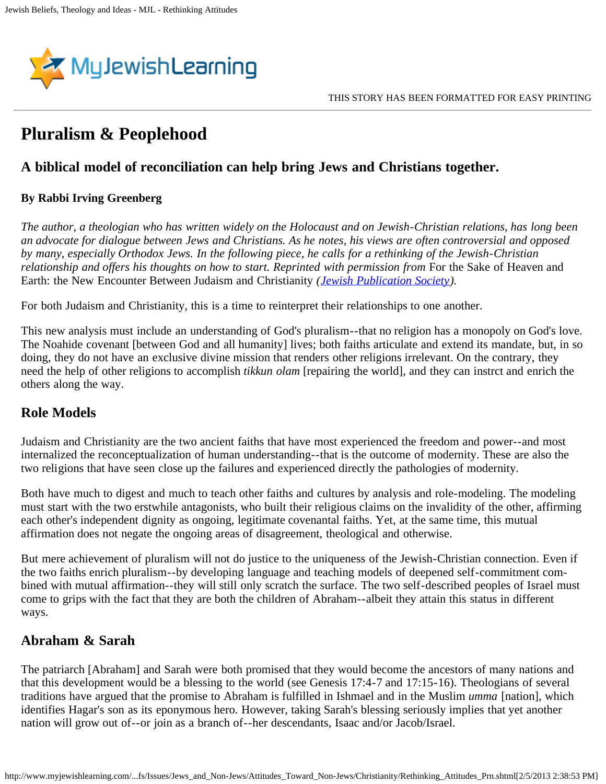

# **Pluralism & Peoplehood**

### **A biblical model of reconciliation can help bring Jews and Christians together.**

#### **By Rabbi Irving Greenberg**

*The author, a theologian who has written widely on the Holocaust and on Jewish-Christian relations, has long been an advocate for dialogue between Jews and Christians. As he notes, his views are often controversial and opposed by many, especially Orthodox Jews. In the following piece, he calls for a rethinking of the Jewish-Christian relationship and offers his thoughts on how to start. Reprinted with permission from For the Sake of Heaven and* Earth: the New Encounter Between Judaism and Christianity *([Jewish Publication Society\)](http://www.jewishpub.org/).*

For both Judaism and Christianity, this is a time to reinterpret their relationships to one another.

This new analysis must include an understanding of God's pluralism--that no religion has a monopoly on God's love. The Noahide covenant [between God and all humanity] lives; both faiths articulate and extend its mandate, but, in so doing, they do not have an exclusive divine mission that renders other religions irrelevant. On the contrary, they need the help of other religions to accomplish *tikkun olam* [repairing the world], and they can instrct and enrich the others along the way.

#### **Role Models**

Judaism and Christianity are the two ancient faiths that have most experienced the freedom and power--and most internalized the reconceptualization of human understanding--that is the outcome of modernity. These are also the two religions that have seen close up the failures and experienced directly the pathologies of modernity.

Both have much to digest and much to teach other faiths and cultures by analysis and role-modeling. The modeling must start with the two erstwhile antagonists, who built their religious claims on the invalidity of the other, affirming each other's independent dignity as ongoing, legitimate covenantal faiths. Yet, at the same time, this mutual affirmation does not negate the ongoing areas of disagreement, theological and otherwise.

But mere achievement of pluralism will not do justice to the uniqueness of the Jewish-Christian connection. Even if the two faiths enrich pluralism--by developing language and teaching models of deepened self-commitment combined with mutual affirmation--they will still only scratch the surface. The two self-described peoples of Israel must come to grips with the fact that they are both the children of Abraham--albeit they attain this status in different ways.

#### **Abraham & Sarah**

The patriarch [Abraham] and Sarah were both promised that they would become the ancestors of many nations and that this development would be a blessing to the world (see Genesis 17:4-7 and 17:15-16). Theologians of several traditions have argued that the promise to Abraham is fulfilled in Ishmael and in the Muslim *umma* [nation], which identifies Hagar's son as its eponymous hero. However, taking Sarah's blessing seriously implies that yet another nation will grow out of--or join as a branch of--her descendants, Isaac and/or Jacob/Israel.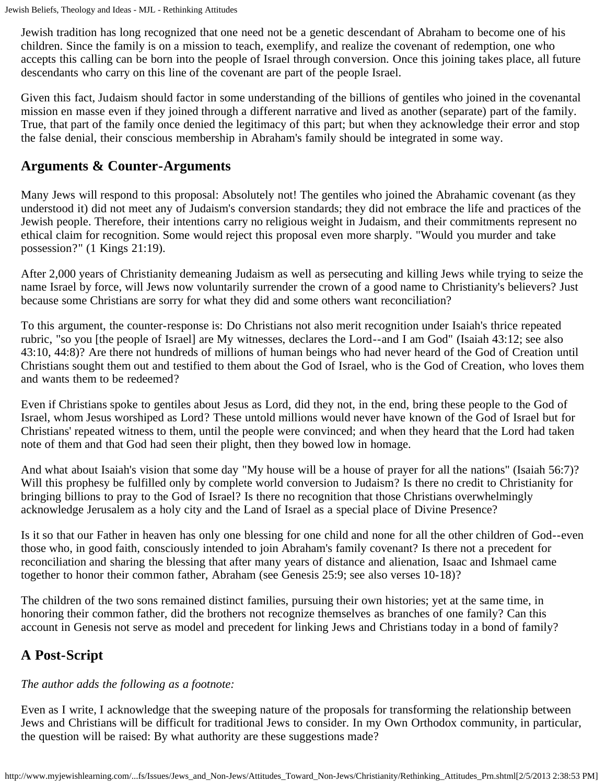Jewish tradition has long recognized that one need not be a genetic descendant of Abraham to become one of his children. Since the family is on a mission to teach, exemplify, and realize the covenant of redemption, one who accepts this calling can be born into the people of Israel through conversion. Once this joining takes place, all future descendants who carry on this line of the covenant are part of the people Israel.

Given this fact, Judaism should factor in some understanding of the billions of gentiles who joined in the covenantal mission en masse even if they joined through a different narrative and lived as another (separate) part of the family. True, that part of the family once denied the legitimacy of this part; but when they acknowledge their error and stop the false denial, their conscious membership in Abraham's family should be integrated in some way.

#### **Arguments & Counter-Arguments**

Many Jews will respond to this proposal: Absolutely not! The gentiles who joined the Abrahamic covenant (as they understood it) did not meet any of Judaism's conversion standards; they did not embrace the life and practices of the Jewish people. Therefore, their intentions carry no religious weight in Judaism, and their commitments represent no ethical claim for recognition. Some would reject this proposal even more sharply. "Would you murder and take possession?" (1 Kings 21:19).

After 2,000 years of Christianity demeaning Judaism as well as persecuting and killing Jews while trying to seize the name Israel by force, will Jews now voluntarily surrender the crown of a good name to Christianity's believers? Just because some Christians are sorry for what they did and some others want reconciliation?

To this argument, the counter-response is: Do Christians not also merit recognition under Isaiah's thrice repeated rubric, "so you [the people of Israel] are My witnesses, declares the Lord--and I am God" (Isaiah 43:12; see also 43:10, 44:8)? Are there not hundreds of millions of human beings who had never heard of the God of Creation until Christians sought them out and testified to them about the God of Israel, who is the God of Creation, who loves them and wants them to be redeemed?

Even if Christians spoke to gentiles about Jesus as Lord, did they not, in the end, bring these people to the God of Israel, whom Jesus worshiped as Lord? These untold millions would never have known of the God of Israel but for Christians' repeated witness to them, until the people were convinced; and when they heard that the Lord had taken note of them and that God had seen their plight, then they bowed low in homage.

And what about Isaiah's vision that some day "My house will be a house of prayer for all the nations" (Isaiah 56:7)? Will this prophesy be fulfilled only by complete world conversion to Judaism? Is there no credit to Christianity for bringing billions to pray to the God of Israel? Is there no recognition that those Christians overwhelmingly acknowledge Jerusalem as a holy city and the Land of Israel as a special place of Divine Presence?

Is it so that our Father in heaven has only one blessing for one child and none for all the other children of God--even those who, in good faith, consciously intended to join Abraham's family covenant? Is there not a precedent for reconciliation and sharing the blessing that after many years of distance and alienation, Isaac and Ishmael came together to honor their common father, Abraham (see Genesis 25:9; see also verses 10-18)?

The children of the two sons remained distinct families, pursuing their own histories; yet at the same time, in honoring their common father, did the brothers not recognize themselves as branches of one family? Can this account in Genesis not serve as model and precedent for linking Jews and Christians today in a bond of family?

## **A Post-Script**

#### *The author adds the following as a footnote:*

Even as I write, I acknowledge that the sweeping nature of the proposals for transforming the relationship between Jews and Christians will be difficult for traditional Jews to consider. In my Own Orthodox community, in particular, the question will be raised: By what authority are these suggestions made?